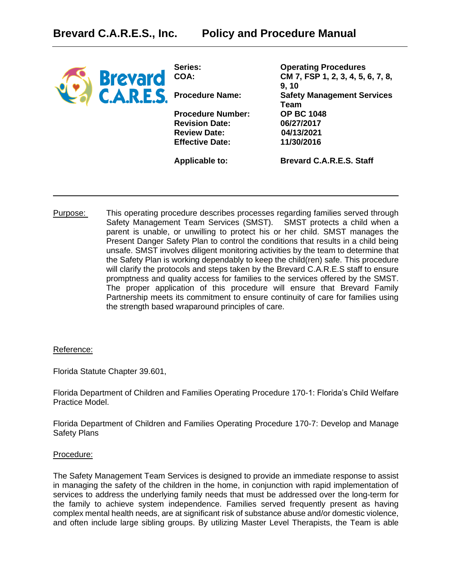| <b>Brevard</b>   | Series:<br>COA:          | <b>Operating Procedures</b><br>CM 7, FSP 1, 2, 3, 4, 5, 6, 7, 8, |
|------------------|--------------------------|------------------------------------------------------------------|
| <b>C.A.R.E.S</b> | <b>Procedure Name:</b>   | 9, 10<br><b>Safety Management Services</b><br>Team               |
|                  | <b>Procedure Number:</b> | <b>OP BC 1048</b>                                                |
|                  | <b>Revision Date:</b>    | 06/27/2017                                                       |
|                  | <b>Review Date:</b>      | 04/13/2021                                                       |
|                  | <b>Effective Date:</b>   | 11/30/2016                                                       |
|                  | <b>Applicable to:</b>    | <b>Brevard C.A.R.E.S. Staff</b>                                  |
|                  |                          |                                                                  |

Purpose: This operating procedure describes processes regarding families served through Safety Management Team Services (SMST). SMST protects a child when a parent is unable, or unwilling to protect his or her child. SMST manages the Present Danger Safety Plan to control the conditions that results in a child being unsafe. SMST involves diligent monitoring activities by the team to determine that the Safety Plan is working dependably to keep the child(ren) safe. This procedure will clarify the protocols and steps taken by the Brevard C.A.R.E.S staff to ensure promptness and quality access for families to the services offered by the SMST. The proper application of this procedure will ensure that Brevard Family Partnership meets its commitment to ensure continuity of care for families using the strength based wraparound principles of care.

### Reference:

Florida Statute Chapter 39.601,

Florida Department of Children and Families Operating Procedure 170-1: Florida's Child Welfare Practice Model.

Florida Department of Children and Families Operating Procedure 170-7: Develop and Manage Safety Plans

### Procedure:

The Safety Management Team Services is designed to provide an immediate response to assist in managing the safety of the children in the home, in conjunction with rapid implementation of services to address the underlying family needs that must be addressed over the long-term for the family to achieve system independence. Families served frequently present as having complex mental health needs, are at significant risk of substance abuse and/or domestic violence, and often include large sibling groups. By utilizing Master Level Therapists, the Team is able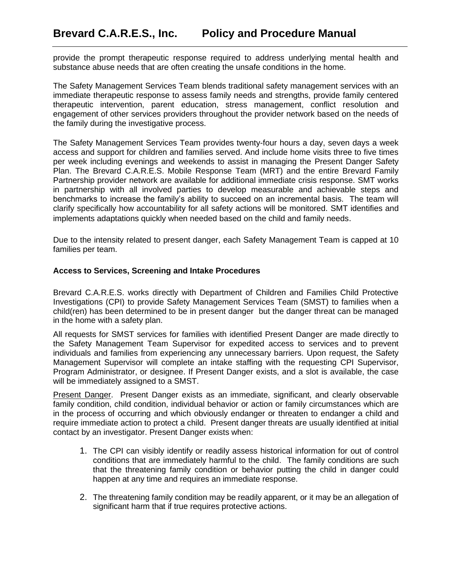provide the prompt therapeutic response required to address underlying mental health and substance abuse needs that are often creating the unsafe conditions in the home.

The Safety Management Services Team blends traditional safety management services with an immediate therapeutic response to assess family needs and strengths, provide family centered therapeutic intervention, parent education, stress management, conflict resolution and engagement of other services providers throughout the provider network based on the needs of the family during the investigative process.

The Safety Management Services Team provides twenty-four hours a day, seven days a week access and support for children and families served. And include home visits three to five times per week including evenings and weekends to assist in managing the Present Danger Safety Plan. The Brevard C.A.R.E.S. Mobile Response Team (MRT) and the entire Brevard Family Partnership provider network are available for additional immediate crisis response. SMT works in partnership with all involved parties to develop measurable and achievable steps and benchmarks to increase the family's ability to succeed on an incremental basis. The team will clarify specifically how accountability for all safety actions will be monitored. SMT identifies and implements adaptations quickly when needed based on the child and family needs.

Due to the intensity related to present danger, each Safety Management Team is capped at 10 families per team.

## **Access to Services, Screening and Intake Procedures**

Brevard C.A.R.E.S. works directly with Department of Children and Families Child Protective Investigations (CPI) to provide Safety Management Services Team (SMST) to families when a child(ren) has been determined to be in present danger but the danger threat can be managed in the home with a safety plan.

All requests for SMST services for families with identified Present Danger are made directly to the Safety Management Team Supervisor for expedited access to services and to prevent individuals and families from experiencing any unnecessary barriers. Upon request, the Safety Management Supervisor will complete an intake staffing with the requesting CPI Supervisor, Program Administrator, or designee. If Present Danger exists, and a slot is available, the case will be immediately assigned to a SMST.

Present Danger. Present Danger exists as an immediate, significant, and clearly observable family condition, child condition, individual behavior or action or family circumstances which are in the process of occurring and which obviously endanger or threaten to endanger a child and require immediate action to protect a child. Present danger threats are usually identified at initial contact by an investigator. Present Danger exists when:

- 1. The CPI can visibly identify or readily assess historical information for out of control conditions that are immediately harmful to the child. The family conditions are such that the threatening family condition or behavior putting the child in danger could happen at any time and requires an immediate response.
- 2. The threatening family condition may be readily apparent, or it may be an allegation of significant harm that if true requires protective actions.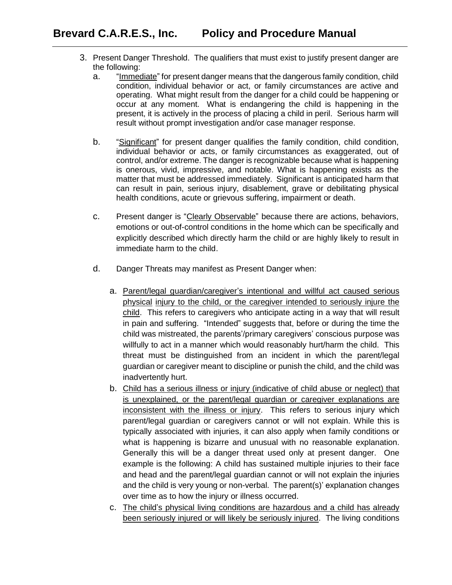- 3. Present Danger Threshold. The qualifiers that must exist to justify present danger are the following:
	- a. "Immediate" for present danger means that the dangerous family condition, child condition, individual behavior or act, or family circumstances are active and operating. What might result from the danger for a child could be happening or occur at any moment. What is endangering the child is happening in the present, it is actively in the process of placing a child in peril. Serious harm will result without prompt investigation and/or case manager response.
	- b. "Significant" for present danger qualifies the family condition, child condition, individual behavior or acts, or family circumstances as exaggerated, out of control, and/or extreme. The danger is recognizable because what is happening is onerous, vivid, impressive, and notable. What is happening exists as the matter that must be addressed immediately. Significant is anticipated harm that can result in pain, serious injury, disablement, grave or debilitating physical health conditions, acute or grievous suffering, impairment or death.
	- c. Present danger is "Clearly Observable" because there are actions, behaviors, emotions or out-of-control conditions in the home which can be specifically and explicitly described which directly harm the child or are highly likely to result in immediate harm to the child.
	- d. Danger Threats may manifest as Present Danger when:
		- a. Parent/legal guardian/caregiver's intentional and willful act caused serious physical injury to the child, or the caregiver intended to seriously injure the child. This refers to caregivers who anticipate acting in a way that will result in pain and suffering. "Intended" suggests that, before or during the time the child was mistreated, the parents'/primary caregivers' conscious purpose was willfully to act in a manner which would reasonably hurt/harm the child. This threat must be distinguished from an incident in which the parent/legal guardian or caregiver meant to discipline or punish the child, and the child was inadvertently hurt.
		- b. Child has a serious illness or injury (indicative of child abuse or neglect) that is unexplained, or the parent/legal guardian or caregiver explanations are inconsistent with the illness or injury. This refers to serious injury which parent/legal guardian or caregivers cannot or will not explain. While this is typically associated with injuries, it can also apply when family conditions or what is happening is bizarre and unusual with no reasonable explanation. Generally this will be a danger threat used only at present danger. One example is the following: A child has sustained multiple injuries to their face and head and the parent/legal guardian cannot or will not explain the injuries and the child is very young or non-verbal. The parent(s)' explanation changes over time as to how the injury or illness occurred.
		- c. The child's physical living conditions are hazardous and a child has already been seriously injured or will likely be seriously injured. The living conditions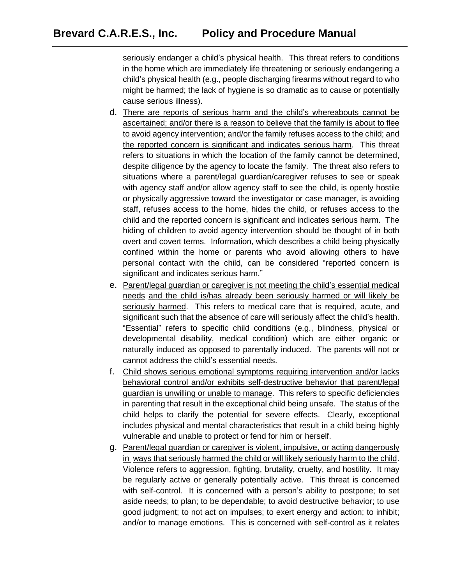seriously endanger a child's physical health. This threat refers to conditions in the home which are immediately life threatening or seriously endangering a child's physical health (e.g., people discharging firearms without regard to who might be harmed; the lack of hygiene is so dramatic as to cause or potentially cause serious illness).

- d. There are reports of serious harm and the child's whereabouts cannot be ascertained; and/or there is a reason to believe that the family is about to flee to avoid agency intervention; and/or the family refuses access to the child; and the reported concern is significant and indicates serious harm. This threat refers to situations in which the location of the family cannot be determined, despite diligence by the agency to locate the family. The threat also refers to situations where a parent/legal guardian/caregiver refuses to see or speak with agency staff and/or allow agency staff to see the child, is openly hostile or physically aggressive toward the investigator or case manager, is avoiding staff, refuses access to the home, hides the child, or refuses access to the child and the reported concern is significant and indicates serious harm. The hiding of children to avoid agency intervention should be thought of in both overt and covert terms. Information, which describes a child being physically confined within the home or parents who avoid allowing others to have personal contact with the child, can be considered "reported concern is significant and indicates serious harm."
- e. Parent/legal guardian or caregiver is not meeting the child's essential medical needs and the child is/has already been seriously harmed or will likely be seriously harmed. This refers to medical care that is required, acute, and significant such that the absence of care will seriously affect the child's health. "Essential" refers to specific child conditions (e.g., blindness, physical or developmental disability, medical condition) which are either organic or naturally induced as opposed to parentally induced. The parents will not or cannot address the child's essential needs.
- f. Child shows serious emotional symptoms requiring intervention and/or lacks behavioral control and/or exhibits self-destructive behavior that parent/legal guardian is unwilling or unable to manage. This refers to specific deficiencies in parenting that result in the exceptional child being unsafe. The status of the child helps to clarify the potential for severe effects. Clearly, exceptional includes physical and mental characteristics that result in a child being highly vulnerable and unable to protect or fend for him or herself.
- g. Parent/legal guardian or caregiver is violent, impulsive, or acting dangerously in ways that seriously harmed the child or will likely seriously harm to the child. Violence refers to aggression, fighting, brutality, cruelty, and hostility. It may be regularly active or generally potentially active. This threat is concerned with self-control. It is concerned with a person's ability to postpone; to set aside needs; to plan; to be dependable; to avoid destructive behavior; to use good judgment; to not act on impulses; to exert energy and action; to inhibit; and/or to manage emotions. This is concerned with self-control as it relates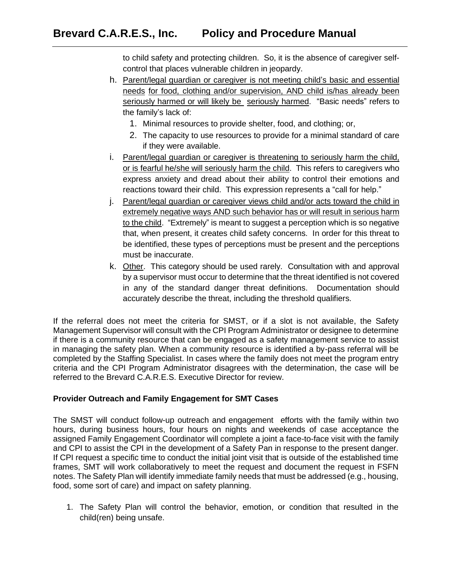to child safety and protecting children. So, it is the absence of caregiver selfcontrol that places vulnerable children in jeopardy.

- h. Parent/legal guardian or caregiver is not meeting child's basic and essential needs for food, clothing and/or supervision, AND child is/has already been seriously harmed or will likely be seriously harmed. "Basic needs" refers to the family's lack of:
	- 1. Minimal resources to provide shelter, food, and clothing; or,
	- 2. The capacity to use resources to provide for a minimal standard of care if they were available.
- i. Parent/legal guardian or caregiver is threatening to seriously harm the child, or is fearful he/she will seriously harm the child. This refers to caregivers who express anxiety and dread about their ability to control their emotions and reactions toward their child. This expression represents a "call for help."
- j. Parent/legal guardian or caregiver views child and/or acts toward the child in extremely negative ways AND such behavior has or will result in serious harm to the child. "Extremely" is meant to suggest a perception which is so negative that, when present, it creates child safety concerns. In order for this threat to be identified, these types of perceptions must be present and the perceptions must be inaccurate.
- k. Other. This category should be used rarely. Consultation with and approval by a supervisor must occur to determine that the threat identified is not covered in any of the standard danger threat definitions. Documentation should accurately describe the threat, including the threshold qualifiers.

If the referral does not meet the criteria for SMST, or if a slot is not available, the Safety Management Supervisor will consult with the CPI Program Administrator or designee to determine if there is a community resource that can be engaged as a safety management service to assist in managing the safety plan. When a community resource is identified a by-pass referral will be completed by the Staffing Specialist. In cases where the family does not meet the program entry criteria and the CPI Program Administrator disagrees with the determination, the case will be referred to the Brevard C.A.R.E.S. Executive Director for review.

# **Provider Outreach and Family Engagement for SMT Cases**

The SMST will conduct follow-up outreach and engagement efforts with the family within two hours, during business hours, four hours on nights and weekends of case acceptance the assigned Family Engagement Coordinator will complete a joint a face-to-face visit with the family and CPI to assist the CPI in the development of a Safety Pan in response to the present danger. If CPI request a specific time to conduct the initial joint visit that is outside of the established time frames, SMT will work collaboratively to meet the request and document the request in FSFN notes. The Safety Plan will identify immediate family needs that must be addressed (e.g., housing, food, some sort of care) and impact on safety planning.

1. The Safety Plan will control the behavior, emotion, or condition that resulted in the child(ren) being unsafe.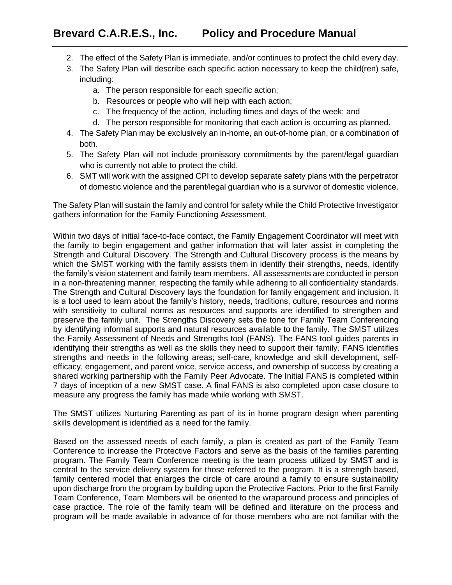- 2. The effect of the Safety Plan is immediate, and/or continues to protect the child every day.
- 3. The Safety Plan will describe each specific action necessary to keep the child(ren) safe, including:
	- a. The person responsible for each specific action;
	- b. Resources or people who will help with each action;
	- c. The frequency of the action, including times and days of the week; and
	- d. The person responsible for monitoring that each action is occurring as planned.
- 4. The Safety Plan may be exclusively an in-home, an out-of-home plan, or a combination of both.
- 5. The Safety Plan will not include promissory commitments by the parent/legal guardian who is currently not able to protect the child.
- 6. SMT will work with the assigned CPI to develop separate safety plans with the perpetrator of domestic violence and the parent/legal guardian who is a survivor of domestic violence.

The Safety Plan will sustain the family and control for safety while the Child Protective Investigator gathers information for the Family Functioning Assessment.

Within two days of initial face-to-face contact, the Family Engagement Coordinator will meet with the family to begin engagement and gather information that will later assist in completing the Strength and Cultural Discovery. The Strength and Cultural Discovery process is the means by which the SMST working with the family assists them in identify their strengths, needs, identify the family's vision statement and family team members. All assessments are conducted in person in a non-threatening manner, respecting the family while adhering to all confidentiality standards. The Strength and Cultural Discovery lays the foundation for family engagement and inclusion. It is a tool used to learn about the family's history, needs, traditions, culture, resources and norms with sensitivity to cultural norms as resources and supports are identified to strengthen and preserve the family unit. The Strengths Discovery sets the tone for Family Team Conferencing by identifying informal supports and natural resources available to the family. The SMST utilizes the Family Assessment of Needs and Strengths tool (FANS). The FANS tool guides parents in identifying their strengths as well as the skills they need to support their family. FANS identifies strengths and needs in the following areas; self-care, knowledge and skill development, selfefficacy, engagement, and parent voice, service access, and ownership of success by creating a shared working partnership with the Family Peer Advocate. The Initial FANS is completed within 7 days of inception of a new SMST case. A final FANS is also completed upon case closure to measure any progress the family has made while working with SMST.

The SMST utilizes Nurturing Parenting as part of its in home program design when parenting skills development is identified as a need for the family.

Based on the assessed needs of each family, a plan is created as part of the Family Team Conference to increase the Protective Factors and serve as the basis of the families parenting program. The Family Team Conference meeting is the team process utilized by SMST and is central to the service delivery system for those referred to the program. It is a strength based, family centered model that enlarges the circle of care around a family to ensure sustainability upon discharge from the program by building upon the Protective Factors. Prior to the first Family Team Conference, Team Members will be oriented to the wraparound process and principles of case practice. The role of the family team will be defined and literature on the process and program will be made available in advance of for those members who are not familiar with the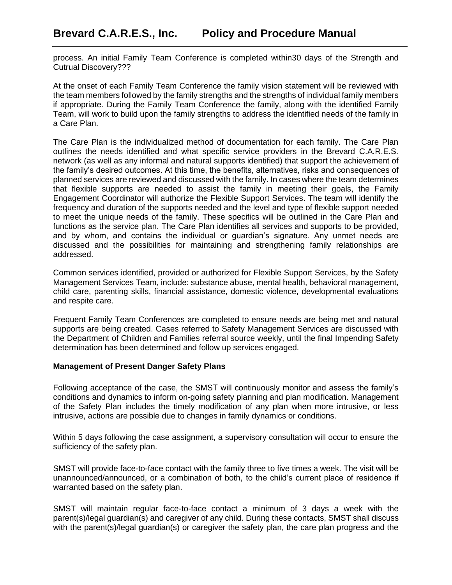process. An initial Family Team Conference is completed within30 days of the Strength and Cutrual Discovery???

At the onset of each Family Team Conference the family vision statement will be reviewed with the team members followed by the family strengths and the strengths of individual family members if appropriate. During the Family Team Conference the family, along with the identified Family Team, will work to build upon the family strengths to address the identified needs of the family in a Care Plan.

The Care Plan is the individualized method of documentation for each family. The Care Plan outlines the needs identified and what specific service providers in the Brevard C.A.R.E.S. network (as well as any informal and natural supports identified) that support the achievement of the family's desired outcomes. At this time, the benefits, alternatives, risks and consequences of planned services are reviewed and discussed with the family. In cases where the team determines that flexible supports are needed to assist the family in meeting their goals, the Family Engagement Coordinator will authorize the Flexible Support Services. The team will identify the frequency and duration of the supports needed and the level and type of flexible support needed to meet the unique needs of the family. These specifics will be outlined in the Care Plan and functions as the service plan. The Care Plan identifies all services and supports to be provided, and by whom, and contains the individual or guardian's signature. Any unmet needs are discussed and the possibilities for maintaining and strengthening family relationships are addressed.

Common services identified, provided or authorized for Flexible Support Services, by the Safety Management Services Team, include: substance abuse, mental health, behavioral management, child care, parenting skills, financial assistance, domestic violence, developmental evaluations and respite care.

Frequent Family Team Conferences are completed to ensure needs are being met and natural supports are being created. Cases referred to Safety Management Services are discussed with the Department of Children and Families referral source weekly, until the final Impending Safety determination has been determined and follow up services engaged.

# **Management of Present Danger Safety Plans**

Following acceptance of the case, the SMST will continuously monitor and assess the family's conditions and dynamics to inform on-going safety planning and plan modification. Management of the Safety Plan includes the timely modification of any plan when more intrusive, or less intrusive, actions are possible due to changes in family dynamics or conditions.

Within 5 days following the case assignment, a supervisory consultation will occur to ensure the sufficiency of the safety plan.

SMST will provide face-to-face contact with the family three to five times a week. The visit will be unannounced/announced, or a combination of both, to the child's current place of residence if warranted based on the safety plan.

SMST will maintain regular face-to-face contact a minimum of 3 days a week with the parent(s)/legal guardian(s) and caregiver of any child. During these contacts, SMST shall discuss with the parent(s)/legal guardian(s) or caregiver the safety plan, the care plan progress and the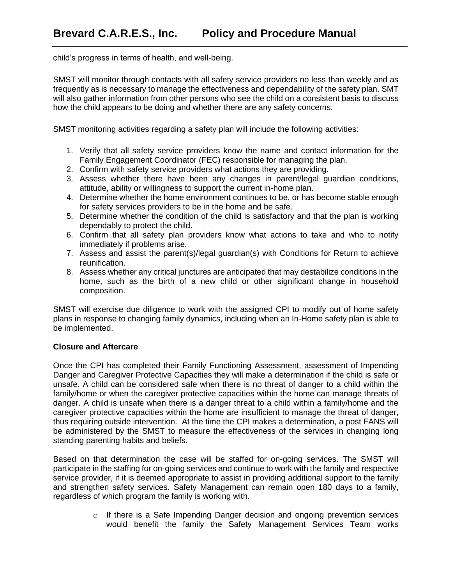child's progress in terms of health, and well-being.

SMST will monitor through contacts with all safety service providers no less than weekly and as frequently as is necessary to manage the effectiveness and dependability of the safety plan. SMT will also gather information from other persons who see the child on a consistent basis to discuss how the child appears to be doing and whether there are any safety concerns.

SMST monitoring activities regarding a safety plan will include the following activities:

- 1. Verify that all safety service providers know the name and contact information for the Family Engagement Coordinator (FEC) responsible for managing the plan.
- 2. Confirm with safety service providers what actions they are providing.
- 3. Assess whether there have been any changes in parent/legal guardian conditions, attitude, ability or willingness to support the current in-home plan.
- 4. Determine whether the home environment continues to be, or has become stable enough for safety services providers to be in the home and be safe.
- 5. Determine whether the condition of the child is satisfactory and that the plan is working dependably to protect the child.
- 6. Confirm that all safety plan providers know what actions to take and who to notify immediately if problems arise.
- 7. Assess and assist the parent(s)/legal guardian(s) with Conditions for Return to achieve reunification.
- 8. Assess whether any critical junctures are anticipated that may destabilize conditions in the home, such as the birth of a new child or other significant change in household composition.

SMST will exercise due diligence to work with the assigned CPI to modify out of home safety plans in response to changing family dynamics, including when an In-Home safety plan is able to be implemented.

# **Closure and Aftercare**

Once the CPI has completed their Family Functioning Assessment, assessment of Impending Danger and Caregiver Protective Capacities they will make a determination if the child is safe or unsafe. A child can be considered safe when there is no threat of danger to a child within the family/home or when the caregiver protective capacities within the home can manage threats of danger. A child is unsafe when there is a danger threat to a child within a family/home and the caregiver protective capacities within the home are insufficient to manage the threat of danger, thus requiring outside intervention. At the time the CPI makes a determination, a post FANS will be administered by the SMST to measure the effectiveness of the services in changing long standing parenting habits and beliefs.

Based on that determination the case will be staffed for on-going services. The SMST will participate in the staffing for on-going services and continue to work with the family and respective service provider, if it is deemed appropriate to assist in providing additional support to the family and strengthen safety services. Safety Management can remain open 180 days to a family, regardless of which program the family is working with.

> o If there is a Safe Impending Danger decision and ongoing prevention services would benefit the family the Safety Management Services Team works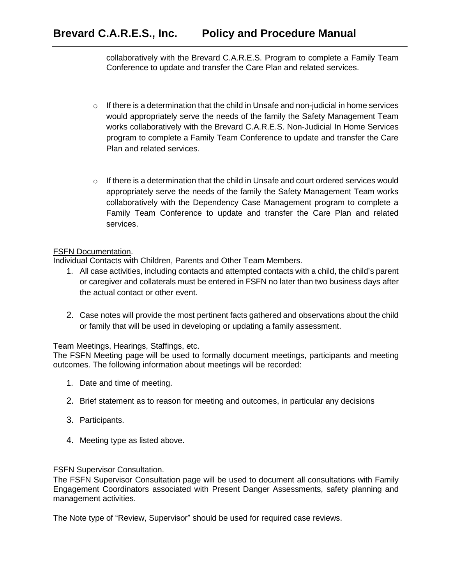collaboratively with the Brevard C.A.R.E.S. Program to complete a Family Team Conference to update and transfer the Care Plan and related services.

- $\circ$  If there is a determination that the child in Unsafe and non-judicial in home services would appropriately serve the needs of the family the Safety Management Team works collaboratively with the Brevard C.A.R.E.S. Non-Judicial In Home Services program to complete a Family Team Conference to update and transfer the Care Plan and related services.
- o If there is a determination that the child in Unsafe and court ordered services would appropriately serve the needs of the family the Safety Management Team works collaboratively with the Dependency Case Management program to complete a Family Team Conference to update and transfer the Care Plan and related services.

# FSFN Documentation.

Individual Contacts with Children, Parents and Other Team Members.

- 1. All case activities, including contacts and attempted contacts with a child, the child's parent or caregiver and collaterals must be entered in FSFN no later than two business days after the actual contact or other event.
- 2. Case notes will provide the most pertinent facts gathered and observations about the child or family that will be used in developing or updating a family assessment.

Team Meetings, Hearings, Staffings, etc.

The FSFN Meeting page will be used to formally document meetings, participants and meeting outcomes. The following information about meetings will be recorded:

- 1. Date and time of meeting.
- 2. Brief statement as to reason for meeting and outcomes, in particular any decisions
- 3. Participants.
- 4. Meeting type as listed above.

FSFN Supervisor Consultation.

The FSFN Supervisor Consultation page will be used to document all consultations with Family Engagement Coordinators associated with Present Danger Assessments, safety planning and management activities.

The Note type of "Review, Supervisor" should be used for required case reviews.